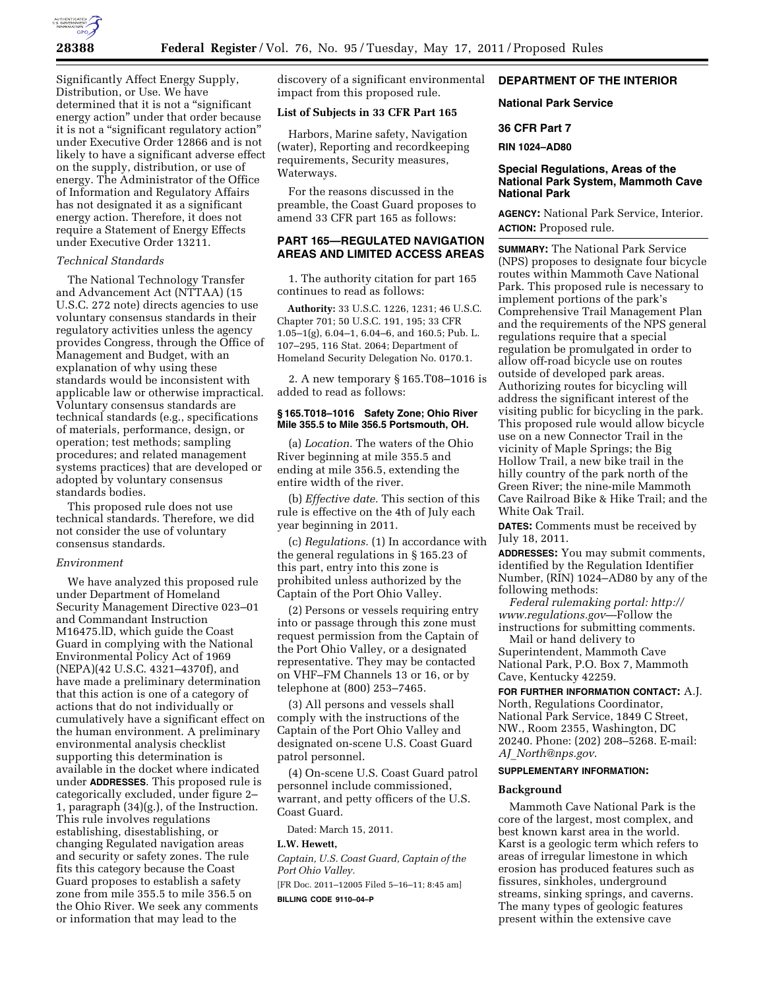

Significantly Affect Energy Supply, Distribution, or Use. We have determined that it is not a "significant" energy action'' under that order because it is not a ''significant regulatory action'' under Executive Order 12866 and is not likely to have a significant adverse effect on the supply, distribution, or use of energy. The Administrator of the Office of Information and Regulatory Affairs has not designated it as a significant energy action. Therefore, it does not require a Statement of Energy Effects under Executive Order 13211.

## *Technical Standards*

The National Technology Transfer and Advancement Act (NTTAA) (15 U.S.C. 272 note) directs agencies to use voluntary consensus standards in their regulatory activities unless the agency provides Congress, through the Office of Management and Budget, with an explanation of why using these standards would be inconsistent with applicable law or otherwise impractical. Voluntary consensus standards are technical standards (e.g., specifications of materials, performance, design, or operation; test methods; sampling procedures; and related management systems practices) that are developed or adopted by voluntary consensus standards bodies.

This proposed rule does not use technical standards. Therefore, we did not consider the use of voluntary consensus standards.

### *Environment*

We have analyzed this proposed rule under Department of Homeland Security Management Directive 023–01 and Commandant Instruction M16475.lD, which guide the Coast Guard in complying with the National Environmental Policy Act of 1969 (NEPA)(42 U.S.C. 4321–4370f), and have made a preliminary determination that this action is one of a category of actions that do not individually or cumulatively have a significant effect on the human environment. A preliminary environmental analysis checklist supporting this determination is available in the docket where indicated under **ADDRESSES**. This proposed rule is categorically excluded, under figure 2– 1, paragraph (34)(g.), of the Instruction. This rule involves regulations establishing, disestablishing, or changing Regulated navigation areas and security or safety zones. The rule fits this category because the Coast Guard proposes to establish a safety zone from mile 355.5 to mile 356.5 on the Ohio River. We seek any comments or information that may lead to the

discovery of a significant environmental impact from this proposed rule.

### **List of Subjects in 33 CFR Part 165**

Harbors, Marine safety, Navigation (water), Reporting and recordkeeping requirements, Security measures, Waterways.

For the reasons discussed in the preamble, the Coast Guard proposes to amend 33 CFR part 165 as follows:

# **PART 165—REGULATED NAVIGATION AREAS AND LIMITED ACCESS AREAS**

1. The authority citation for part 165 continues to read as follows:

**Authority:** 33 U.S.C. 1226, 1231; 46 U.S.C. Chapter 701; 50 U.S.C. 191, 195; 33 CFR 1.05–1(g), 6.04–1, 6.04–6, and 160.5; Pub. L. 107–295, 116 Stat. 2064; Department of Homeland Security Delegation No. 0170.1.

2. A new temporary § 165.T08–1016 is added to read as follows:

# **§ 165.T018–1016 Safety Zone; Ohio River Mile 355.5 to Mile 356.5 Portsmouth, OH.**

(a) *Location.* The waters of the Ohio River beginning at mile 355.5 and ending at mile 356.5, extending the entire width of the river.

(b) *Effective date.* This section of this rule is effective on the 4th of July each year beginning in 2011.

(c) *Regulations.* (1) In accordance with the general regulations in § 165.23 of this part, entry into this zone is prohibited unless authorized by the Captain of the Port Ohio Valley.

(2) Persons or vessels requiring entry into or passage through this zone must request permission from the Captain of the Port Ohio Valley, or a designated representative. They may be contacted on VHF–FM Channels 13 or 16, or by telephone at (800) 253–7465.

(3) All persons and vessels shall comply with the instructions of the Captain of the Port Ohio Valley and designated on-scene U.S. Coast Guard patrol personnel.

(4) On-scene U.S. Coast Guard patrol personnel include commissioned, warrant, and petty officers of the U.S. Coast Guard.

Dated: March 15, 2011.

## **L.W. Hewett,**

*Captain, U.S. Coast Guard, Captain of the Port Ohio Valley.* 

[FR Doc. 2011–12005 Filed 5–16–11; 8:45 am]

**BILLING CODE 9110–04–P** 

# **DEPARTMENT OF THE INTERIOR**

### **National Park Service**

## **36 CFR Part 7**

**RIN 1024–AD80** 

### **Special Regulations, Areas of the National Park System, Mammoth Cave National Park**

**AGENCY:** National Park Service, Interior. **ACTION:** Proposed rule.

**SUMMARY:** The National Park Service (NPS) proposes to designate four bicycle routes within Mammoth Cave National Park. This proposed rule is necessary to implement portions of the park's Comprehensive Trail Management Plan and the requirements of the NPS general regulations require that a special regulation be promulgated in order to allow off-road bicycle use on routes outside of developed park areas. Authorizing routes for bicycling will address the significant interest of the visiting public for bicycling in the park. This proposed rule would allow bicycle use on a new Connector Trail in the vicinity of Maple Springs; the Big Hollow Trail, a new bike trail in the hilly country of the park north of the Green River; the nine-mile Mammoth Cave Railroad Bike & Hike Trail; and the White Oak Trail.

**DATES:** Comments must be received by July 18, 2011.

**ADDRESSES:** You may submit comments, identified by the Regulation Identifier Number, (RIN) 1024–AD80 by any of the following methods:

*Federal rulemaking portal: [http://](http://www.regulations.gov)  [www.regulations.gov](http://www.regulations.gov)*—Follow the instructions for submitting comments.

Mail or hand delivery to Superintendent, Mammoth Cave National Park, P.O. Box 7, Mammoth Cave, Kentucky 42259.

**FOR FURTHER INFORMATION CONTACT:** A.J. North, Regulations Coordinator, National Park Service, 1849 C Street, NW., Room 2355, Washington, DC 20240. Phone: (202) 208–5268. E-mail: *AJ*\_*[North@nps.gov](mailto:AJ_North@nps.gov)*.

### **SUPPLEMENTARY INFORMATION:**

### **Background**

Mammoth Cave National Park is the core of the largest, most complex, and best known karst area in the world. Karst is a geologic term which refers to areas of irregular limestone in which erosion has produced features such as fissures, sinkholes, underground streams, sinking springs, and caverns. The many types of geologic features present within the extensive cave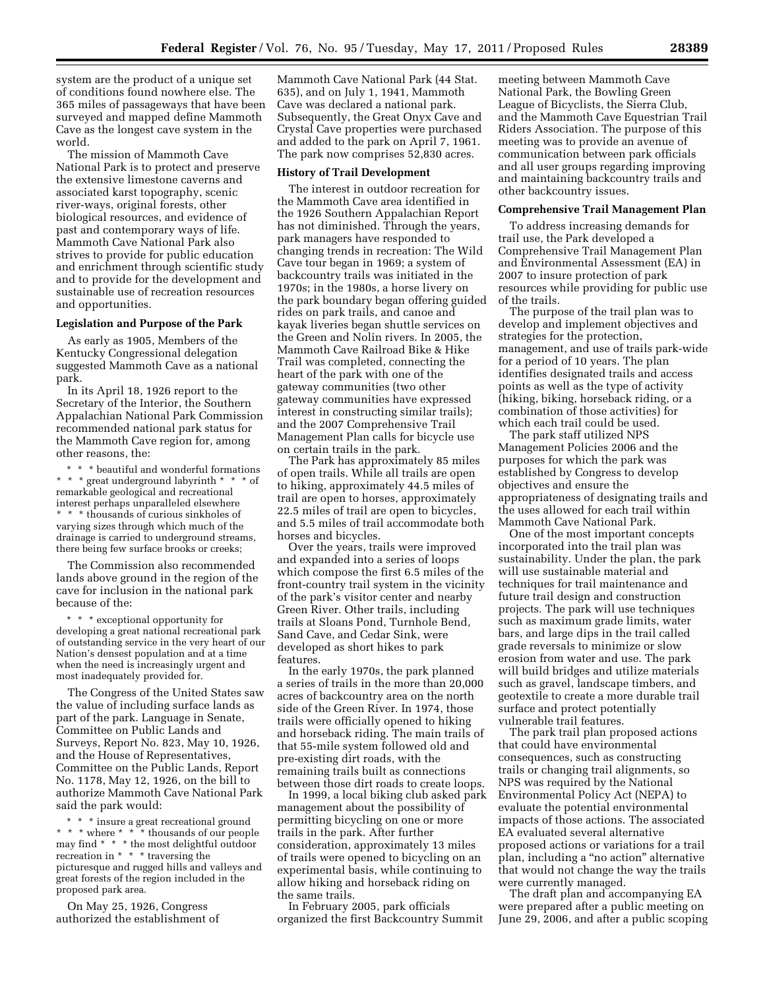system are the product of a unique set of conditions found nowhere else. The 365 miles of passageways that have been surveyed and mapped define Mammoth Cave as the longest cave system in the world.

The mission of Mammoth Cave National Park is to protect and preserve the extensive limestone caverns and associated karst topography, scenic river-ways, original forests, other biological resources, and evidence of past and contemporary ways of life. Mammoth Cave National Park also strives to provide for public education and enrichment through scientific study and to provide for the development and sustainable use of recreation resources and opportunities.

### **Legislation and Purpose of the Park**

As early as 1905, Members of the Kentucky Congressional delegation suggested Mammoth Cave as a national park.

In its April 18, 1926 report to the Secretary of the Interior, the Southern Appalachian National Park Commission recommended national park status for the Mammoth Cave region for, among other reasons, the:

\* \* \* beautiful and wonderful formations  $^{\star}$   $^{\star}$   $^{\star}$  great underground labyrinth  $^{\star}$   $^{\star}$ remarkable geological and recreational interest perhaps unparalleled elsewhere \* \* \* thousands of curious sinkholes of varying sizes through which much of the drainage is carried to underground streams, there being few surface brooks or creeks;

The Commission also recommended lands above ground in the region of the cave for inclusion in the national park because of the:

\* \* \* exceptional opportunity for developing a great national recreational park of outstanding service in the very heart of our Nation's densest population and at a time when the need is increasingly urgent and most inadequately provided for.

The Congress of the United States saw the value of including surface lands as part of the park. Language in Senate, Committee on Public Lands and Surveys, Report No. 823, May 10, 1926, and the House of Representatives, Committee on the Public Lands, Report No. 1178, May 12, 1926, on the bill to authorize Mammoth Cave National Park said the park would:

\* \* \* insure a great recreational ground \* \* \* where \* \* \* thousands of our people may find \* \* \* the most delightful outdoor recreation in \* \* \* \* traversing the picturesque and rugged hills and valleys and great forests of the region included in the proposed park area.

On May 25, 1926, Congress authorized the establishment of

Mammoth Cave National Park (44 Stat. 635), and on July 1, 1941, Mammoth Cave was declared a national park. Subsequently, the Great Onyx Cave and Crystal Cave properties were purchased and added to the park on April 7, 1961. The park now comprises 52,830 acres.

### **History of Trail Development**

The interest in outdoor recreation for the Mammoth Cave area identified in the 1926 Southern Appalachian Report has not diminished. Through the years, park managers have responded to changing trends in recreation: The Wild Cave tour began in 1969; a system of backcountry trails was initiated in the 1970s; in the 1980s, a horse livery on the park boundary began offering guided rides on park trails, and canoe and kayak liveries began shuttle services on the Green and Nolin rivers. In 2005, the Mammoth Cave Railroad Bike & Hike Trail was completed, connecting the heart of the park with one of the gateway communities (two other gateway communities have expressed interest in constructing similar trails); and the 2007 Comprehensive Trail Management Plan calls for bicycle use on certain trails in the park.

The Park has approximately 85 miles of open trails. While all trails are open to hiking, approximately 44.5 miles of trail are open to horses, approximately 22.5 miles of trail are open to bicycles, and 5.5 miles of trail accommodate both horses and bicycles.

Over the years, trails were improved and expanded into a series of loops which compose the first 6.5 miles of the front-country trail system in the vicinity of the park's visitor center and nearby Green River. Other trails, including trails at Sloans Pond, Turnhole Bend, Sand Cave, and Cedar Sink, were developed as short hikes to park features.

In the early 1970s, the park planned a series of trails in the more than 20,000 acres of backcountry area on the north side of the Green River. In 1974, those trails were officially opened to hiking and horseback riding. The main trails of that 55-mile system followed old and pre-existing dirt roads, with the remaining trails built as connections between those dirt roads to create loops.

In 1999, a local biking club asked park management about the possibility of permitting bicycling on one or more trails in the park. After further consideration, approximately 13 miles of trails were opened to bicycling on an experimental basis, while continuing to allow hiking and horseback riding on the same trails.

In February 2005, park officials organized the first Backcountry Summit

meeting between Mammoth Cave National Park, the Bowling Green League of Bicyclists, the Sierra Club, and the Mammoth Cave Equestrian Trail Riders Association. The purpose of this meeting was to provide an avenue of communication between park officials and all user groups regarding improving and maintaining backcountry trails and other backcountry issues.

#### **Comprehensive Trail Management Plan**

To address increasing demands for trail use, the Park developed a Comprehensive Trail Management Plan and Environmental Assessment (EA) in 2007 to insure protection of park resources while providing for public use of the trails.

The purpose of the trail plan was to develop and implement objectives and strategies for the protection, management, and use of trails park-wide for a period of 10 years. The plan identifies designated trails and access points as well as the type of activity (hiking, biking, horseback riding, or a combination of those activities) for which each trail could be used.

The park staff utilized NPS Management Policies 2006 and the purposes for which the park was established by Congress to develop objectives and ensure the appropriateness of designating trails and the uses allowed for each trail within Mammoth Cave National Park.

One of the most important concepts incorporated into the trail plan was sustainability. Under the plan, the park will use sustainable material and techniques for trail maintenance and future trail design and construction projects. The park will use techniques such as maximum grade limits, water bars, and large dips in the trail called grade reversals to minimize or slow erosion from water and use. The park will build bridges and utilize materials such as gravel, landscape timbers, and geotextile to create a more durable trail surface and protect potentially vulnerable trail features.

The park trail plan proposed actions that could have environmental consequences, such as constructing trails or changing trail alignments, so NPS was required by the National Environmental Policy Act (NEPA) to evaluate the potential environmental impacts of those actions. The associated EA evaluated several alternative proposed actions or variations for a trail plan, including a ''no action'' alternative that would not change the way the trails were currently managed.

The draft plan and accompanying EA were prepared after a public meeting on June 29, 2006, and after a public scoping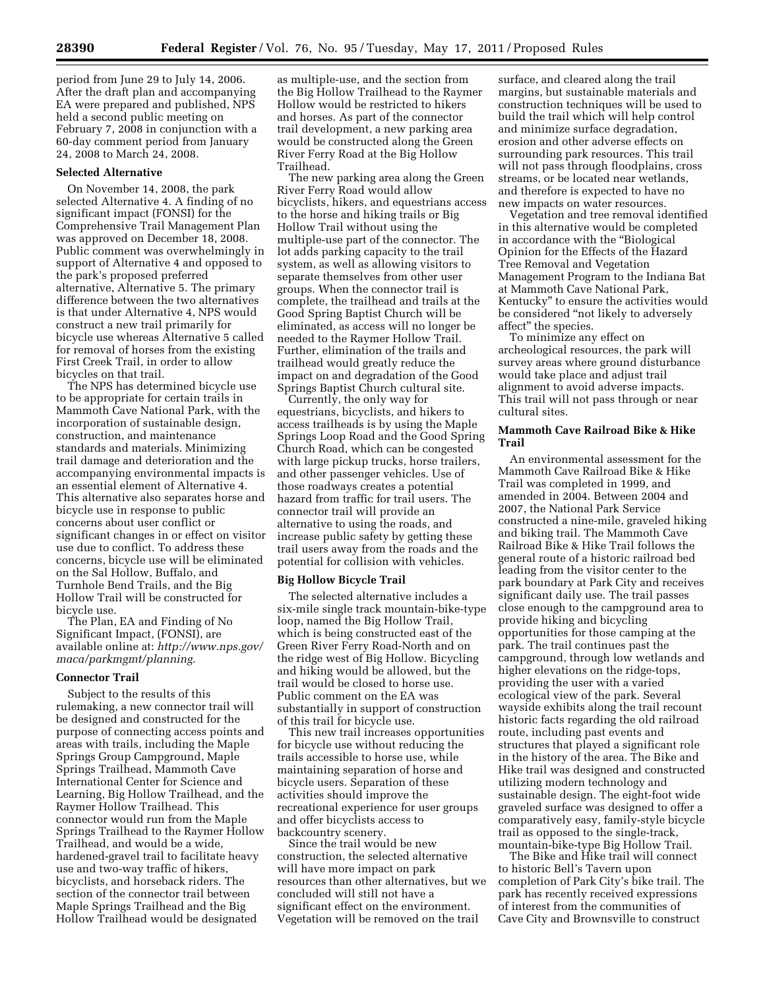period from June 29 to July 14, 2006. After the draft plan and accompanying EA were prepared and published, NPS held a second public meeting on February 7, 2008 in conjunction with a 60-day comment period from January 24, 2008 to March 24, 2008.

### **Selected Alternative**

On November 14, 2008, the park selected Alternative 4. A finding of no significant impact (FONSI) for the Comprehensive Trail Management Plan was approved on December 18, 2008. Public comment was overwhelmingly in support of Alternative 4 and opposed to the park's proposed preferred alternative, Alternative 5. The primary difference between the two alternatives is that under Alternative 4, NPS would construct a new trail primarily for bicycle use whereas Alternative 5 called for removal of horses from the existing First Creek Trail, in order to allow bicycles on that trail.

The NPS has determined bicycle use to be appropriate for certain trails in Mammoth Cave National Park, with the incorporation of sustainable design, construction, and maintenance standards and materials. Minimizing trail damage and deterioration and the accompanying environmental impacts is an essential element of Alternative 4. This alternative also separates horse and bicycle use in response to public concerns about user conflict or significant changes in or effect on visitor use due to conflict. To address these concerns, bicycle use will be eliminated on the Sal Hollow, Buffalo, and Turnhole Bend Trails, and the Big Hollow Trail will be constructed for bicycle use.

The Plan, EA and Finding of No Significant Impact, (FONSI), are available online at: *[http://www.nps.gov/](http://www.nps.gov/maca/parkmgmt/planning)  [maca/parkmgmt/planning](http://www.nps.gov/maca/parkmgmt/planning)*.

### **Connector Trail**

Subject to the results of this rulemaking, a new connector trail will be designed and constructed for the purpose of connecting access points and areas with trails, including the Maple Springs Group Campground, Maple Springs Trailhead, Mammoth Cave International Center for Science and Learning, Big Hollow Trailhead, and the Raymer Hollow Trailhead. This connector would run from the Maple Springs Trailhead to the Raymer Hollow Trailhead, and would be a wide, hardened-gravel trail to facilitate heavy use and two-way traffic of hikers, bicyclists, and horseback riders. The section of the connector trail between Maple Springs Trailhead and the Big Hollow Trailhead would be designated

as multiple-use, and the section from the Big Hollow Trailhead to the Raymer Hollow would be restricted to hikers and horses. As part of the connector trail development, a new parking area would be constructed along the Green River Ferry Road at the Big Hollow Trailhead.

The new parking area along the Green River Ferry Road would allow bicyclists, hikers, and equestrians access to the horse and hiking trails or Big Hollow Trail without using the multiple-use part of the connector. The lot adds parking capacity to the trail system, as well as allowing visitors to separate themselves from other user groups. When the connector trail is complete, the trailhead and trails at the Good Spring Baptist Church will be eliminated, as access will no longer be needed to the Raymer Hollow Trail. Further, elimination of the trails and trailhead would greatly reduce the impact on and degradation of the Good Springs Baptist Church cultural site.

Currently, the only way for equestrians, bicyclists, and hikers to access trailheads is by using the Maple Springs Loop Road and the Good Spring Church Road, which can be congested with large pickup trucks, horse trailers, and other passenger vehicles. Use of those roadways creates a potential hazard from traffic for trail users. The connector trail will provide an alternative to using the roads, and increase public safety by getting these trail users away from the roads and the potential for collision with vehicles.

### **Big Hollow Bicycle Trail**

The selected alternative includes a six-mile single track mountain-bike-type loop, named the Big Hollow Trail, which is being constructed east of the Green River Ferry Road-North and on the ridge west of Big Hollow. Bicycling and hiking would be allowed, but the trail would be closed to horse use. Public comment on the EA was substantially in support of construction of this trail for bicycle use.

This new trail increases opportunities for bicycle use without reducing the trails accessible to horse use, while maintaining separation of horse and bicycle users. Separation of these activities should improve the recreational experience for user groups and offer bicyclists access to backcountry scenery.

Since the trail would be new construction, the selected alternative will have more impact on park resources than other alternatives, but we concluded will still not have a significant effect on the environment. Vegetation will be removed on the trail

surface, and cleared along the trail margins, but sustainable materials and construction techniques will be used to build the trail which will help control and minimize surface degradation, erosion and other adverse effects on surrounding park resources. This trail will not pass through floodplains, cross streams, or be located near wetlands, and therefore is expected to have no new impacts on water resources.

Vegetation and tree removal identified in this alternative would be completed in accordance with the "Biological Opinion for the Effects of the Hazard Tree Removal and Vegetation Management Program to the Indiana Bat at Mammoth Cave National Park, Kentucky'' to ensure the activities would be considered ''not likely to adversely affect'' the species.

To minimize any effect on archeological resources, the park will survey areas where ground disturbance would take place and adjust trail alignment to avoid adverse impacts. This trail will not pass through or near cultural sites.

### **Mammoth Cave Railroad Bike & Hike Trail**

An environmental assessment for the Mammoth Cave Railroad Bike & Hike Trail was completed in 1999, and amended in 2004. Between 2004 and 2007, the National Park Service constructed a nine-mile, graveled hiking and biking trail. The Mammoth Cave Railroad Bike & Hike Trail follows the general route of a historic railroad bed leading from the visitor center to the park boundary at Park City and receives significant daily use. The trail passes close enough to the campground area to provide hiking and bicycling opportunities for those camping at the park. The trail continues past the campground, through low wetlands and higher elevations on the ridge-tops, providing the user with a varied ecological view of the park. Several wayside exhibits along the trail recount historic facts regarding the old railroad route, including past events and structures that played a significant role in the history of the area. The Bike and Hike trail was designed and constructed utilizing modern technology and sustainable design. The eight-foot wide graveled surface was designed to offer a comparatively easy, family-style bicycle trail as opposed to the single-track, mountain-bike-type Big Hollow Trail.

The Bike and Hike trail will connect to historic Bell's Tavern upon completion of Park City's bike trail. The park has recently received expressions of interest from the communities of Cave City and Brownsville to construct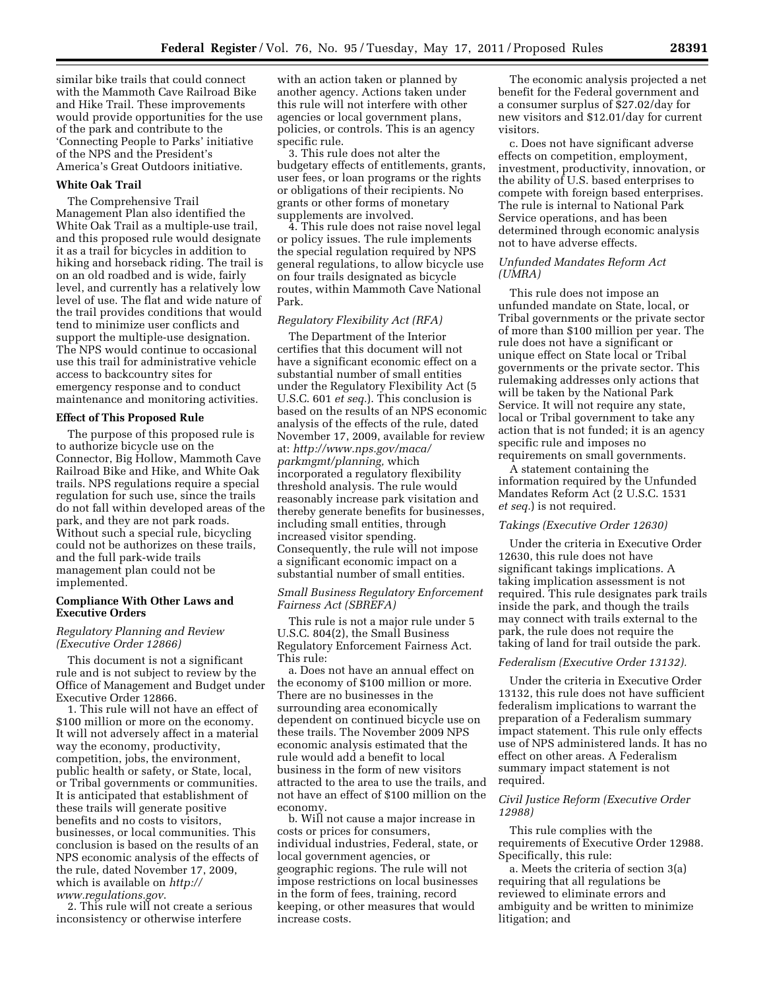similar bike trails that could connect with the Mammoth Cave Railroad Bike and Hike Trail. These improvements would provide opportunities for the use of the park and contribute to the 'Connecting People to Parks' initiative of the NPS and the President's America's Great Outdoors initiative.

### **White Oak Trail**

The Comprehensive Trail Management Plan also identified the White Oak Trail as a multiple-use trail, and this proposed rule would designate it as a trail for bicycles in addition to hiking and horseback riding. The trail is on an old roadbed and is wide, fairly level, and currently has a relatively low level of use. The flat and wide nature of the trail provides conditions that would tend to minimize user conflicts and support the multiple-use designation. The NPS would continue to occasional use this trail for administrative vehicle access to backcountry sites for emergency response and to conduct maintenance and monitoring activities.

### **Effect of This Proposed Rule**

The purpose of this proposed rule is to authorize bicycle use on the Connector, Big Hollow, Mammoth Cave Railroad Bike and Hike, and White Oak trails. NPS regulations require a special regulation for such use, since the trails do not fall within developed areas of the park, and they are not park roads. Without such a special rule, bicycling could not be authorizes on these trails, and the full park-wide trails management plan could not be implemented.

### **Compliance With Other Laws and Executive Orders**

### *Regulatory Planning and Review (Executive Order 12866)*

This document is not a significant rule and is not subject to review by the Office of Management and Budget under Executive Order 12866.

1. This rule will not have an effect of \$100 million or more on the economy. It will not adversely affect in a material way the economy, productivity, competition, jobs, the environment, public health or safety, or State, local, or Tribal governments or communities. It is anticipated that establishment of these trails will generate positive benefits and no costs to visitors, businesses, or local communities. This conclusion is based on the results of an NPS economic analysis of the effects of the rule, dated November 17, 2009, which is available on *[http://](http://www.regulations.gov)  [www.regulations.gov](http://www.regulations.gov)*.

2. This rule will not create a serious inconsistency or otherwise interfere

with an action taken or planned by another agency. Actions taken under this rule will not interfere with other agencies or local government plans, policies, or controls. This is an agency specific rule.

3. This rule does not alter the budgetary effects of entitlements, grants, user fees, or loan programs or the rights or obligations of their recipients. No grants or other forms of monetary supplements are involved.

4. This rule does not raise novel legal or policy issues. The rule implements the special regulation required by NPS general regulations, to allow bicycle use on four trails designated as bicycle routes, within Mammoth Cave National Park.

# *Regulatory Flexibility Act (RFA)*

The Department of the Interior certifies that this document will not have a significant economic effect on a substantial number of small entities under the Regulatory Flexibility Act (5 U.S.C. 601 *et seq.*). This conclusion is based on the results of an NPS economic analysis of the effects of the rule, dated November 17, 2009, available for review at: *[http://www.nps.gov/maca/](http://www.nps.gov/maca/parkmgmt/planning) [parkmgmt/planning,](http://www.nps.gov/maca/parkmgmt/planning)* which incorporated a regulatory flexibility threshold analysis. The rule would reasonably increase park visitation and thereby generate benefits for businesses, including small entities, through increased visitor spending. Consequently, the rule will not impose a significant economic impact on a substantial number of small entities.

## *Small Business Regulatory Enforcement Fairness Act (SBREFA)*

This rule is not a major rule under 5 U.S.C. 804(2), the Small Business Regulatory Enforcement Fairness Act. This rule:

a. Does not have an annual effect on the economy of \$100 million or more. There are no businesses in the surrounding area economically dependent on continued bicycle use on these trails. The November 2009 NPS economic analysis estimated that the rule would add a benefit to local business in the form of new visitors attracted to the area to use the trails, and not have an effect of \$100 million on the economy.

b. Will not cause a major increase in costs or prices for consumers, individual industries, Federal, state, or local government agencies, or geographic regions. The rule will not impose restrictions on local businesses in the form of fees, training, record keeping, or other measures that would increase costs.

The economic analysis projected a net benefit for the Federal government and a consumer surplus of \$27.02/day for new visitors and \$12.01/day for current visitors.

c. Does not have significant adverse effects on competition, employment, investment, productivity, innovation, or the ability of U.S. based enterprises to compete with foreign based enterprises. The rule is internal to National Park Service operations, and has been determined through economic analysis not to have adverse effects.

### *Unfunded Mandates Reform Act (UMRA)*

This rule does not impose an unfunded mandate on State, local, or Tribal governments or the private sector of more than \$100 million per year. The rule does not have a significant or unique effect on State local or Tribal governments or the private sector. This rulemaking addresses only actions that will be taken by the National Park Service. It will not require any state, local or Tribal government to take any action that is not funded; it is an agency specific rule and imposes no requirements on small governments.

A statement containing the information required by the Unfunded Mandates Reform Act (2 U.S.C. 1531 *et seq.*) is not required.

### *Takings (Executive Order 12630)*

Under the criteria in Executive Order 12630, this rule does not have significant takings implications. A taking implication assessment is not required. This rule designates park trails inside the park, and though the trails may connect with trails external to the park, the rule does not require the taking of land for trail outside the park.

### *Federalism (Executive Order 13132).*

Under the criteria in Executive Order 13132, this rule does not have sufficient federalism implications to warrant the preparation of a Federalism summary impact statement. This rule only effects use of NPS administered lands. It has no effect on other areas. A Federalism summary impact statement is not required.

### *Civil Justice Reform (Executive Order 12988)*

This rule complies with the requirements of Executive Order 12988. Specifically, this rule:

a. Meets the criteria of section 3(a) requiring that all regulations be reviewed to eliminate errors and ambiguity and be written to minimize litigation; and